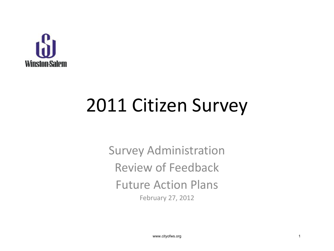

### 2011 Citizen Survey

Survey Administration Review of Feedback Future Action Plans February 27, 2012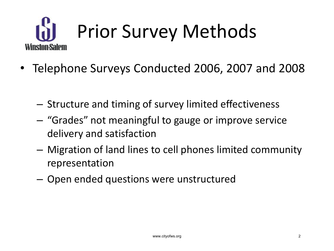

- Telephone Surveys Conducted 2006, 2007 and 2008
	- Structure and timing of survey limited effectiveness
	- "Grades" not meaningful to gauge or improve service delivery and satisfaction
	- Migration of land lines to cell phones limited community representation
	- Open ended questions were unstructured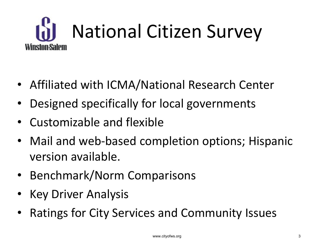

- Affiliated with ICMA/National Research Center
- Designed specifically for local governments
- Customizable and flexible
- Mail and web-based completion options; Hispanic version available.
- Benchmark/Norm Comparisons
- Key Driver Analysis
- Ratings for City Services and Community Issues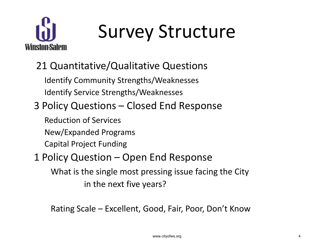

# Survey Structure

### 21 Quantitative/Qualitative Questions

Identify Community Strengths/Weaknesses Identify Service Strengths/Weaknesses

### 3 Policy Questions – Closed End Response

Reduction of Services

New/Expanded Programs

Capital Project Funding

#### 1 Policy Question – Open End Response

What is the single most pressing issue facing the City in the next five years?

Rating Scale – Excellent, Good, Fair, Poor, Don't Know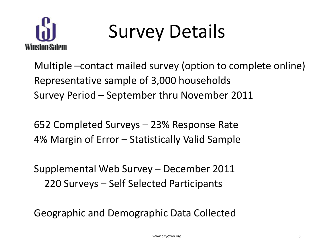

## Survey Details

Multiple –contact mailed survey (option to complete online) Representative sample of 3,000 households Survey Period – September thru November 2011

652 Completed Surveys – 23% Response Rate 4% Margin of Error – Statistically Valid Sample

Supplemental Web Survey – December 2011 220 Surveys – Self Selected Participants

Geographic and Demographic Data Collected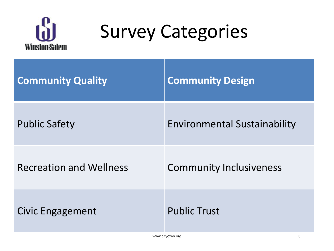

### Survey Categories

| <b>Community Quality</b>       | <b>Community Design</b>             |
|--------------------------------|-------------------------------------|
| <b>Public Safety</b>           | <b>Environmental Sustainability</b> |
| <b>Recreation and Wellness</b> | <b>Community Inclusiveness</b>      |
| <b>Civic Engagement</b>        | <b>Public Trust</b>                 |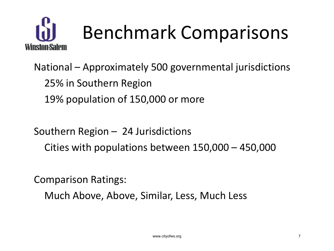

National – Approximately 500 governmental jurisdictions 25% in Southern Region 19% population of 150,000 or more

Southern Region – 24 Jurisdictions Cities with populations between 150,000 – 450,000

Comparison Ratings:

Much Above, Above, Similar, Less, Much Less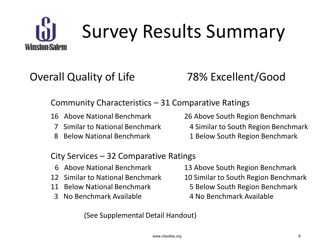

# Survey Results Summary

### Overall Quality of Life 78% Excellent/Good

#### Community Characteristics – 31 Comparative Ratings

- 
- 
- 
- 16 Above National Benchmark 26 Above South Region Benchmark
	- 7 Similar to National Benchmark 4 Similar to South Region Benchmark
- 8 Below National Benchmark 1 Below South Region Benchmark

#### City Services – 32 Comparative Ratings

- 
- 
- 
- 3 No Benchmark Available 4 No Benchmark Available
- 6 Above National Benchmark 13 Above South Region Benchmark
- 12 Similar to National Benchmark 10 Similar to South Region Benchmark
- 11 Below National Benchmark 5 Below South Region Benchmark
	-

(See Supplemental Detail Handout)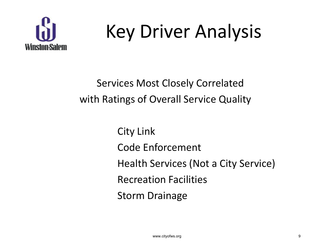

## Key Driver Analysis

Services Most Closely Correlated with Ratings of Overall Service Quality

> City Link Code Enforcement Health Services (Not a City Service) Recreation Facilities Storm Drainage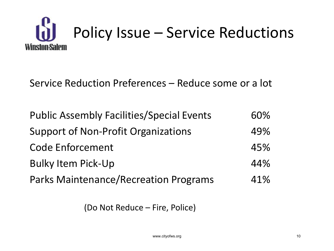

Service Reduction Preferences – Reduce some or a lot

| <b>Public Assembly Facilities/Special Events</b> | 60% |
|--------------------------------------------------|-----|
| <b>Support of Non-Profit Organizations</b>       | 49% |
| <b>Code Enforcement</b>                          | 45% |
| <b>Bulky Item Pick-Up</b>                        | 44% |
| <b>Parks Maintenance/Recreation Programs</b>     | 41% |

(Do Not Reduce – Fire, Police)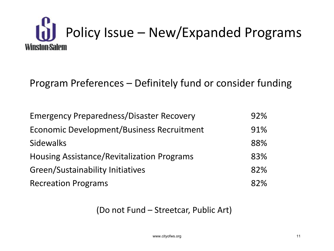

Program Preferences – Definitely fund or consider funding

| <b>Emergency Preparedness/Disaster Recovery</b>   | 92% |
|---------------------------------------------------|-----|
| <b>Economic Development/Business Recruitment</b>  | 91% |
| <b>Sidewalks</b>                                  | 88% |
| <b>Housing Assistance/Revitalization Programs</b> | 83% |
| Green/Sustainability Initiatives                  | 82% |
| <b>Recreation Programs</b>                        | 82% |

(Do not Fund – Streetcar, Public Art)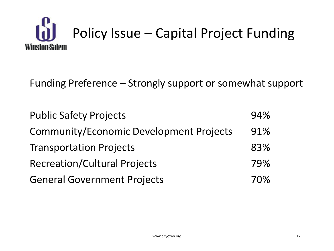

Funding Preference – Strongly support or somewhat support

| <b>Public Safety Projects</b>                  | 94% |
|------------------------------------------------|-----|
| <b>Community/Economic Development Projects</b> | 91% |
| <b>Transportation Projects</b>                 | 83% |
| <b>Recreation/Cultural Projects</b>            | 79% |
| <b>General Government Projects</b>             | 70% |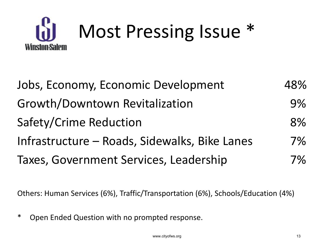

| Jobs, Economy, Economic Development           | 48% |
|-----------------------------------------------|-----|
| Growth/Downtown Revitalization                | 9%  |
| Safety/Crime Reduction                        | 8%  |
| Infrastructure - Roads, Sidewalks, Bike Lanes | 7%  |
| Taxes, Government Services, Leadership        | 7%  |

Others: Human Services (6%), Traffic/Transportation (6%), Schools/Education (4%)

\* Open Ended Question with no prompted response.